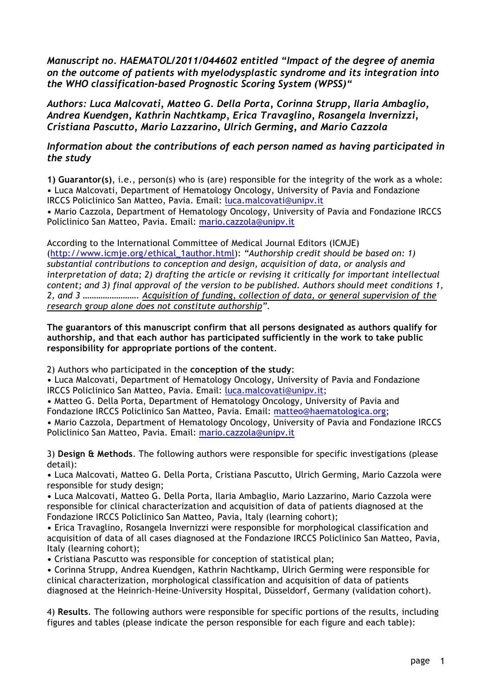*Manuscript no. HAEMATOL/2011/044602 entitled "Impact of the degree of anemia on the outcome of patients with myelodysplastic syndrome and its integration into the WHO classification-based Prognostic Scoring System (WPSS)"*

*Authors: Luca Malcovati, Matteo G. Della Porta, Corinna Strupp, Ilaria Ambaglio, Andrea Kuendgen, Kathrin Nachtkamp, Erica Travaglino, Rosangela Invernizzi, Cristiana Pascutto, Mario Lazzarino, Ulrich Germing, and Mario Cazzola*

## *Information about the contributions of each person named as having participated in the study*

**1) Guarantor(s)**, i.e., person(s) who is (are) responsible for the integrity of the work as a whole: **•** Luca Malcovati, Department of Hematology Oncology, University of Pavia and Fondazione IRCCS Policlinico San Matteo, Pavia. Email: luca.malcovati@unipv.it

**•** Mario Cazzola, Department of Hematology Oncology, University of Pavia and Fondazione IRCCS Policlinico San Matteo, Pavia. Email: mario.cazzola@unipv.it

According to the International Committee of Medical Journal Editors (ICMJE) (http://www.icmje.org/ethical\_1author.html): *"Authorship credit should be based on: 1) substantial contributions to conception and design, acquisition of data, or analysis and interpretation of data; 2) drafting the article or revising it critically for important intellectual content; and 3) final approval of the version to be published. Authors should meet conditions 1, 2, and 3 ……………………. Acquisition of funding, collection of data, or general supervision of the research group alone does not constitute authorship".*

**The guarantors of this manuscript confirm that all persons designated as authors qualify for authorship, and that each author has participated sufficiently in the work to take public responsibility for appropriate portions of the content**.

2) Authors who participated in the **conception of the study**:

**•** Luca Malcovati, Department of Hematology Oncology, University of Pavia and Fondazione IRCCS Policlinico San Matteo, Pavia. Email: luca.malcovati@unipv.it;

**•** Matteo G. Della Porta, Department of Hematology Oncology, University of Pavia and Fondazione IRCCS Policlinico San Matteo, Pavia. Email: matteo@haematologica.org; **•** Mario Cazzola, Department of Hematology Oncology, University of Pavia and Fondazione IRCCS

Policlinico San Matteo, Pavia. Email: mario.cazzola@unipv.it

3) **Design & Methods**. The following authors were responsible for specific investigations (please detail):

**•** Luca Malcovati, Matteo G. Della Porta, Cristiana Pascutto, Ulrich Germing, Mario Cazzola were responsible for study design;

**•** Luca Malcovati, Matteo G. Della Porta, Ilaria Ambaglio, Mario Lazzarino, Mario Cazzola were responsible for clinical characterization and acquisition of data of patients diagnosed at the Fondazione IRCCS Policlinico San Matteo, Pavia, Italy (learning cohort);

**•** Erica Travaglino, Rosangela Invernizzi were responsible for morphological classification and acquisition of data of all cases diagnosed at the Fondazione IRCCS Policlinico San Matteo, Pavia, Italy (learning cohort);

**•** Cristiana Pascutto was responsible for conception of statistical plan;

**•** Corinna Strupp, Andrea Kuendgen, Kathrin Nachtkamp, Ulrich Germing were responsible for clinical characterization, morphological classification and acquisition of data of patients diagnosed at the Heinrich-Heine-University Hospital, Düsseldorf, Germany (validation cohort).

4) **Results**. The following authors were responsible for specific portions of the results, including figures and tables (please indicate the person responsible for each figure and each table):